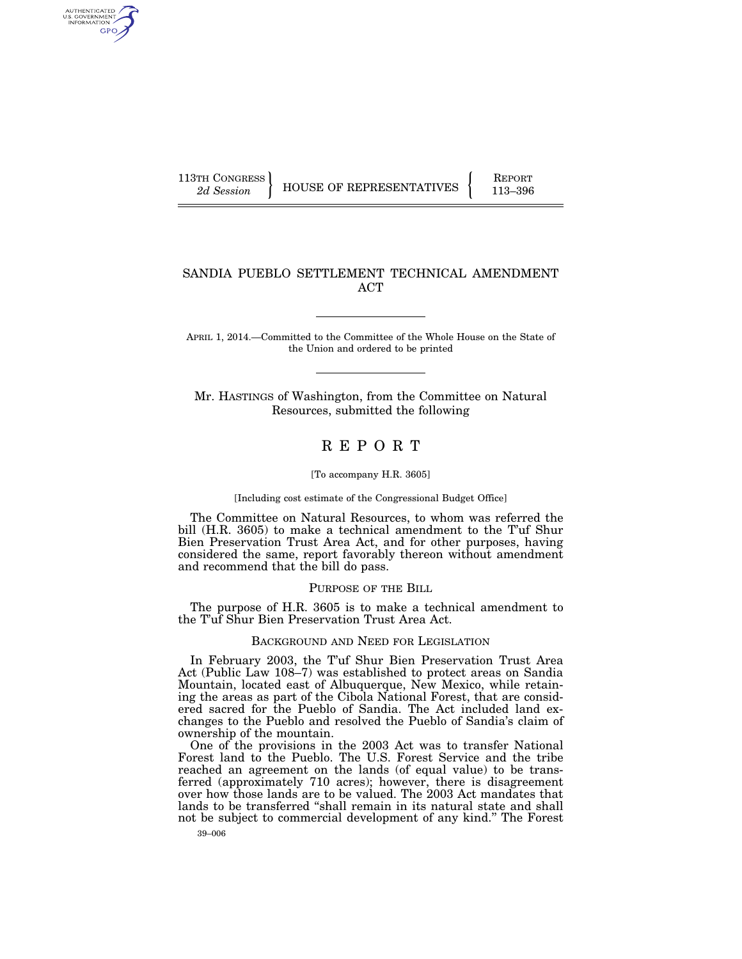AUTHENTICATED<br>U.S. GOVERNMENT<br>INFORMATION GPO

113TH CONGRESS HOUSE OF REPRESENTATIVES FEPORT 113–396

## SANDIA PUEBLO SETTLEMENT TECHNICAL AMENDMENT ACT

APRIL 1, 2014.—Committed to the Committee of the Whole House on the State of the Union and ordered to be printed

Mr. HASTINGS of Washington, from the Committee on Natural Resources, submitted the following

## R E P O R T

## [To accompany H.R. 3605]

## [Including cost estimate of the Congressional Budget Office]

The Committee on Natural Resources, to whom was referred the bill (H.R. 3605) to make a technical amendment to the T'uf Shur Bien Preservation Trust Area Act, and for other purposes, having considered the same, report favorably thereon without amendment and recommend that the bill do pass.

## PURPOSE OF THE BILL

The purpose of H.R. 3605 is to make a technical amendment to the T'uf Shur Bien Preservation Trust Area Act.

## BACKGROUND AND NEED FOR LEGISLATION

In February 2003, the T'uf Shur Bien Preservation Trust Area Act (Public Law 108–7) was established to protect areas on Sandia Mountain, located east of Albuquerque, New Mexico, while retaining the areas as part of the Cibola National Forest, that are considered sacred for the Pueblo of Sandia. The Act included land exchanges to the Pueblo and resolved the Pueblo of Sandia's claim of ownership of the mountain.

One of the provisions in the 2003 Act was to transfer National Forest land to the Pueblo. The U.S. Forest Service and the tribe reached an agreement on the lands (of equal value) to be transferred (approximately 710 acres); however, there is disagreement over how those lands are to be valued. The 2003 Act mandates that lands to be transferred ''shall remain in its natural state and shall not be subject to commercial development of any kind.'' The Forest

39–006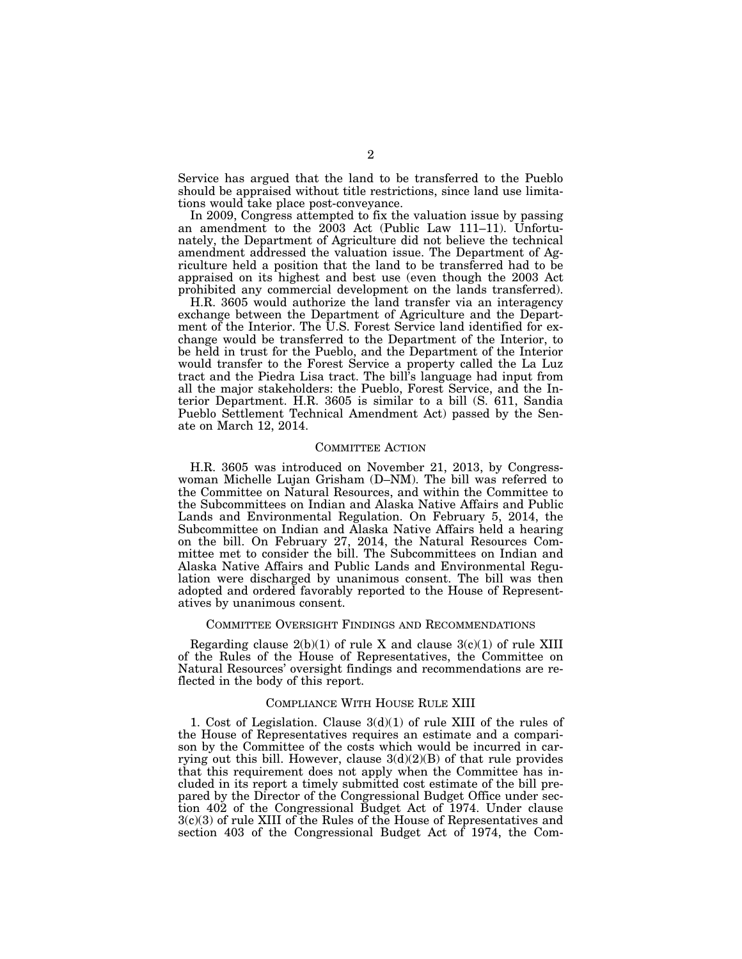Service has argued that the land to be transferred to the Pueblo should be appraised without title restrictions, since land use limitations would take place post-conveyance.

In 2009, Congress attempted to fix the valuation issue by passing an amendment to the 2003 Act (Public Law 111–11). Unfortunately, the Department of Agriculture did not believe the technical amendment addressed the valuation issue. The Department of Agriculture held a position that the land to be transferred had to be appraised on its highest and best use (even though the 2003 Act prohibited any commercial development on the lands transferred).

H.R. 3605 would authorize the land transfer via an interagency exchange between the Department of Agriculture and the Department of the Interior. The U.S. Forest Service land identified for exchange would be transferred to the Department of the Interior, to be held in trust for the Pueblo, and the Department of the Interior would transfer to the Forest Service a property called the La Luz tract and the Piedra Lisa tract. The bill's language had input from all the major stakeholders: the Pueblo, Forest Service, and the Interior Department. H.R. 3605 is similar to a bill (S. 611, Sandia Pueblo Settlement Technical Amendment Act) passed by the Senate on March 12, 2014.

## COMMITTEE ACTION

H.R. 3605 was introduced on November 21, 2013, by Congresswoman Michelle Lujan Grisham (D–NM). The bill was referred to the Committee on Natural Resources, and within the Committee to the Subcommittees on Indian and Alaska Native Affairs and Public Lands and Environmental Regulation. On February 5, 2014, the Subcommittee on Indian and Alaska Native Affairs held a hearing on the bill. On February 27, 2014, the Natural Resources Committee met to consider the bill. The Subcommittees on Indian and Alaska Native Affairs and Public Lands and Environmental Regulation were discharged by unanimous consent. The bill was then adopted and ordered favorably reported to the House of Representatives by unanimous consent.

## COMMITTEE OVERSIGHT FINDINGS AND RECOMMENDATIONS

Regarding clause  $2(b)(1)$  of rule X and clause  $3(c)(1)$  of rule XIII of the Rules of the House of Representatives, the Committee on Natural Resources' oversight findings and recommendations are reflected in the body of this report.

## COMPLIANCE WITH HOUSE RULE XIII

1. Cost of Legislation. Clause  $3(d)(1)$  of rule XIII of the rules of the House of Representatives requires an estimate and a comparison by the Committee of the costs which would be incurred in carrying out this bill. However, clause  $3(d)(2)(B)$  of that rule provides that this requirement does not apply when the Committee has included in its report a timely submitted cost estimate of the bill prepared by the Director of the Congressional Budget Office under section 402 of the Congressional Budget Act of 1974. Under clause 3(c)(3) of rule XIII of the Rules of the House of Representatives and section 403 of the Congressional Budget Act of 1974, the Com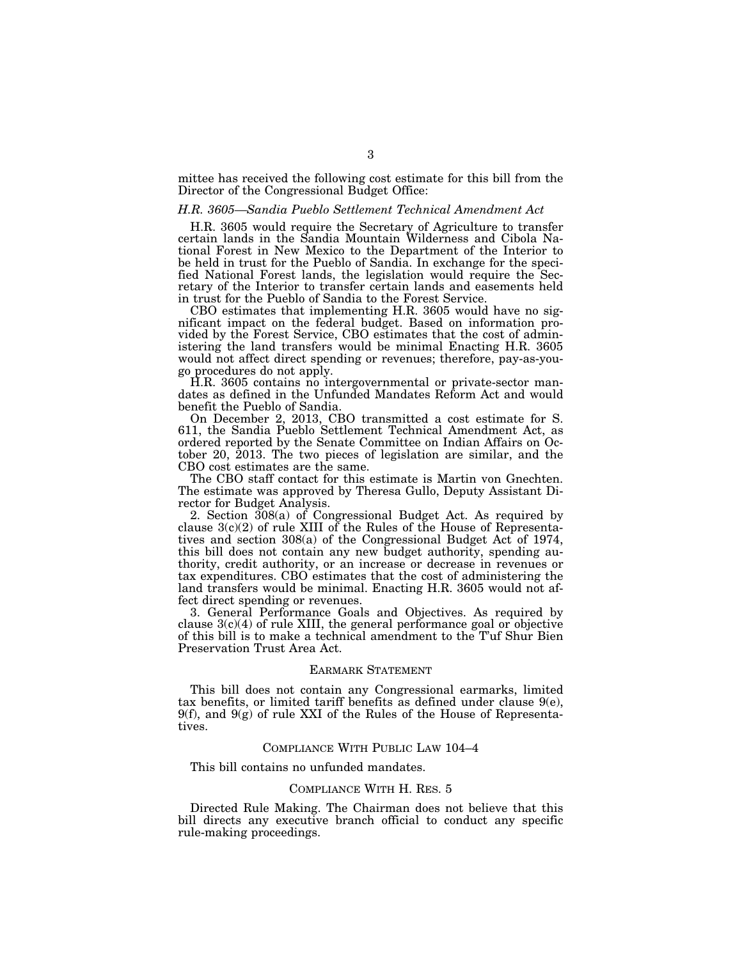mittee has received the following cost estimate for this bill from the Director of the Congressional Budget Office:

#### *H.R. 3605—Sandia Pueblo Settlement Technical Amendment Act*

H.R. 3605 would require the Secretary of Agriculture to transfer certain lands in the Sandia Mountain Wilderness and Cibola National Forest in New Mexico to the Department of the Interior to be held in trust for the Pueblo of Sandia. In exchange for the specified National Forest lands, the legislation would require the Secretary of the Interior to transfer certain lands and easements held in trust for the Pueblo of Sandia to the Forest Service.

CBO estimates that implementing H.R. 3605 would have no significant impact on the federal budget. Based on information provided by the Forest Service, CBO estimates that the cost of administering the land transfers would be minimal Enacting H.R. 3605 would not affect direct spending or revenues; therefore, pay-as-yougo procedures do not apply.

H.R. 3605 contains no intergovernmental or private-sector mandates as defined in the Unfunded Mandates Reform Act and would benefit the Pueblo of Sandia.

On December 2, 2013, CBO transmitted a cost estimate for S. 611, the Sandia Pueblo Settlement Technical Amendment Act, as ordered reported by the Senate Committee on Indian Affairs on October 20, 2013. The two pieces of legislation are similar, and the CBO cost estimates are the same.

The CBO staff contact for this estimate is Martin von Gnechten. The estimate was approved by Theresa Gullo, Deputy Assistant Director for Budget Analysis.

2. Section 308(a) of Congressional Budget Act. As required by clause  $3(c)(2)$  of rule XIII of the Rules of the House of Representatives and section 308(a) of the Congressional Budget Act of 1974, this bill does not contain any new budget authority, spending authority, credit authority, or an increase or decrease in revenues or tax expenditures. CBO estimates that the cost of administering the land transfers would be minimal. Enacting H.R. 3605 would not affect direct spending or revenues.

3. General Performance Goals and Objectives. As required by clause  $3(c)(4)$  of rule XIII, the general performance goal or objective of this bill is to make a technical amendment to the T'uf Shur Bien Preservation Trust Area Act.

## EARMARK STATEMENT

This bill does not contain any Congressional earmarks, limited tax benefits, or limited tariff benefits as defined under clause  $9(e)$ , 9(f), and 9(g) of rule XXI of the Rules of the House of Representatives.

## COMPLIANCE WITH PUBLIC LAW 104–4

This bill contains no unfunded mandates.

## COMPLIANCE WITH H. RES. 5

Directed Rule Making. The Chairman does not believe that this bill directs any executive branch official to conduct any specific rule-making proceedings.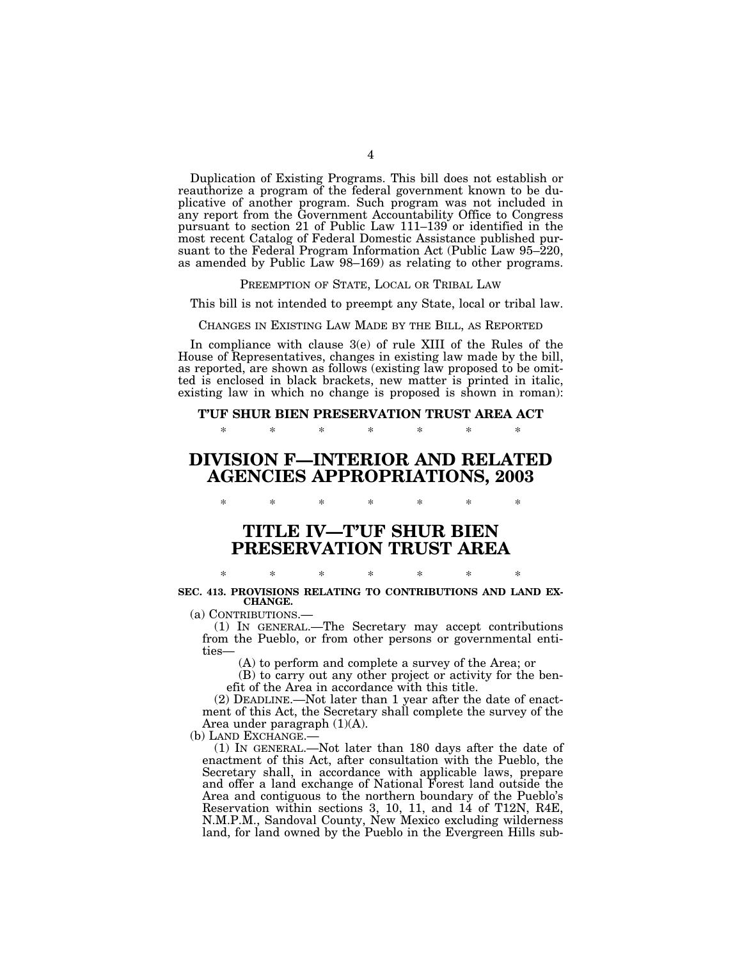Duplication of Existing Programs. This bill does not establish or reauthorize a program of the federal government known to be duplicative of another program. Such program was not included in any report from the Government Accountability Office to Congress pursuant to section 21 of Public Law 111–139 or identified in the most recent Catalog of Federal Domestic Assistance published pursuant to the Federal Program Information Act (Public Law 95–220, as amended by Public Law 98–169) as relating to other programs.

PREEMPTION OF STATE, LOCAL OR TRIBAL LAW

This bill is not intended to preempt any State, local or tribal law.

CHANGES IN EXISTING LAW MADE BY THE BILL, AS REPORTED

In compliance with clause 3(e) of rule XIII of the Rules of the House of Representatives, changes in existing law made by the bill, as reported, are shown as follows (existing law proposed to be omitted is enclosed in black brackets, new matter is printed in italic, existing law in which no change is proposed is shown in roman):

**T'UF SHUR BIEN PRESERVATION TRUST AREA ACT** 

\* \* \* \* \* \* \*

# **DIVISION F—INTERIOR AND RELATED AGENCIES APPROPRIATIONS, 2003**

**TITLE IV—T'UF SHUR BIEN PRESERVATION TRUST AREA** 

\* \* \* \* \* \* \*

## \* \* \* \* \* \* \* **SEC. 413. PROVISIONS RELATING TO CONTRIBUTIONS AND LAND EX-CHANGE.**

(a) CONTRIBUTIONS.—

(1) IN GENERAL.—The Secretary may accept contributions from the Pueblo, or from other persons or governmental entities—

(A) to perform and complete a survey of the Area; or

(B) to carry out any other project or activity for the benefit of the Area in accordance with this title.

(2) DEADLINE.—Not later than 1 year after the date of enactment of this Act, the Secretary shall complete the survey of the Area under paragraph (1)(A).

(b) LAND EXCHANGE.—

(1) IN GENERAL.—Not later than 180 days after the date of enactment of this Act, after consultation with the Pueblo, the Secretary shall, in accordance with applicable laws, prepare and offer a land exchange of National Forest land outside the Area and contiguous to the northern boundary of the Pueblo's Reservation within sections 3, 10, 11, and 14 of T12N, R4E, N.M.P.M., Sandoval County, New Mexico excluding wilderness land, for land owned by the Pueblo in the Evergreen Hills sub-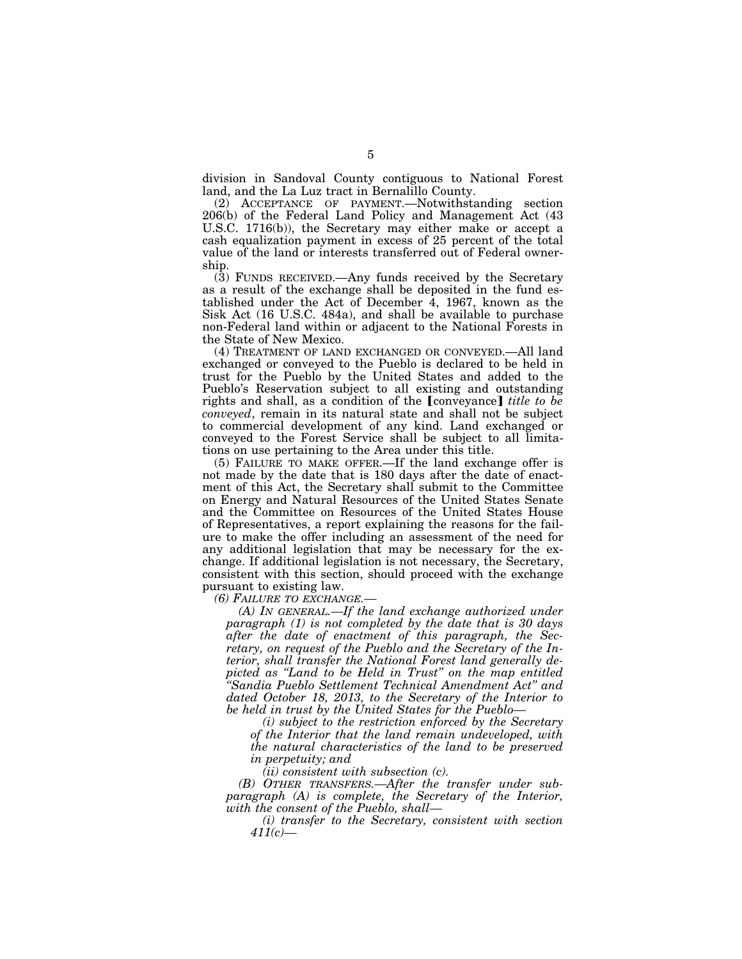division in Sandoval County contiguous to National Forest land, and the La Luz tract in Bernalillo County.

(2) ACCEPTANCE OF PAYMENT.—Notwithstanding section 206(b) of the Federal Land Policy and Management Act (43 U.S.C. 1716(b)), the Secretary may either make or accept a cash equalization payment in excess of 25 percent of the total value of the land or interests transferred out of Federal ownership.

(3) FUNDS RECEIVED.—Any funds received by the Secretary as a result of the exchange shall be deposited in the fund established under the Act of December 4, 1967, known as the Sisk Act (16 U.S.C. 484a), and shall be available to purchase non-Federal land within or adjacent to the National Forests in the State of New Mexico.

(4) TREATMENT OF LAND EXCHANGED OR CONVEYED.—All land exchanged or conveyed to the Pueblo is declared to be held in trust for the Pueblo by the United States and added to the Pueblo's Reservation subject to all existing and outstanding rights and shall, as a condition of the **[**conveyance**]** *title to be conveyed*, remain in its natural state and shall not be subject to commercial development of any kind. Land exchanged or conveyed to the Forest Service shall be subject to all limitations on use pertaining to the Area under this title.

(5) FAILURE TO MAKE OFFER.—If the land exchange offer is not made by the date that is 180 days after the date of enactment of this Act, the Secretary shall submit to the Committee on Energy and Natural Resources of the United States Senate and the Committee on Resources of the United States House of Representatives, a report explaining the reasons for the failure to make the offer including an assessment of the need for any additional legislation that may be necessary for the exchange. If additional legislation is not necessary, the Secretary, consistent with this section, should proceed with the exchange pursuant to existing law.

*(6) FAILURE TO EXCHANGE.—* 

*(A) IN GENERAL.—If the land exchange authorized under paragraph (1) is not completed by the date that is 30 days after the date of enactment of this paragraph, the Secretary, on request of the Pueblo and the Secretary of the Interior, shall transfer the National Forest land generally depicted as ''Land to be Held in Trust'' on the map entitled ''Sandia Pueblo Settlement Technical Amendment Act'' and dated October 18, 2013, to the Secretary of the Interior to be held in trust by the United States for the Pueblo—* 

*(i) subject to the restriction enforced by the Secretary of the Interior that the land remain undeveloped, with the natural characteristics of the land to be preserved in perpetuity; and* 

*(ii) consistent with subsection (c).* 

*(B) OTHER TRANSFERS.—After the transfer under subparagraph (A) is complete, the Secretary of the Interior, with the consent of the Pueblo, shall—* 

*(i) transfer to the Secretary, consistent with section 411(c)—*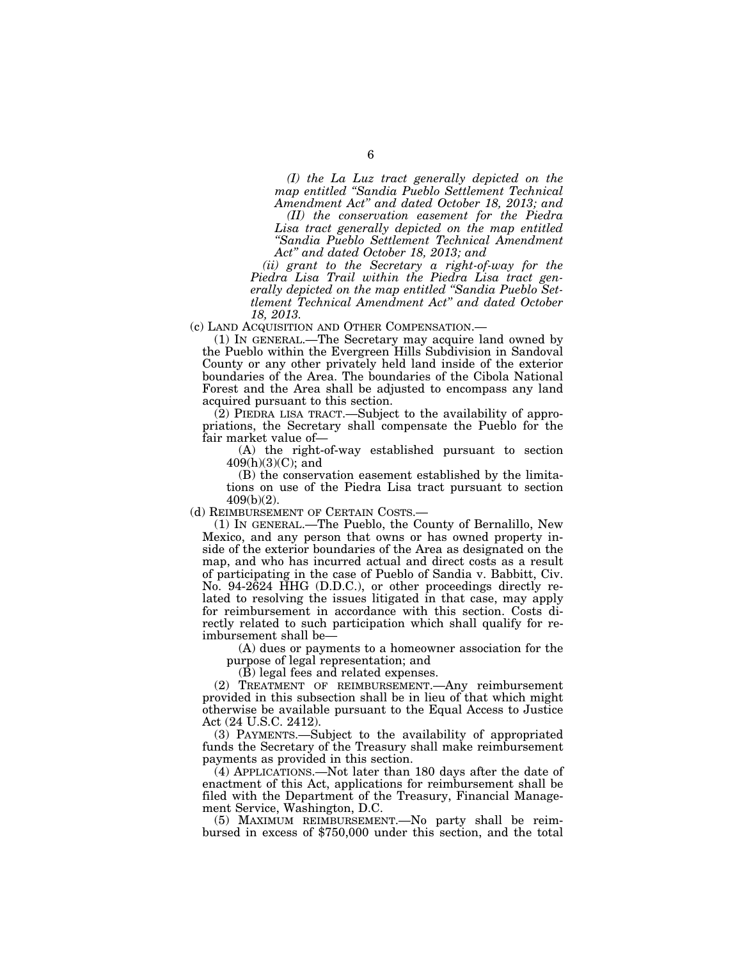*(I) the La Luz tract generally depicted on the map entitled ''Sandia Pueblo Settlement Technical Amendment Act'' and dated October 18, 2013; and (II) the conservation easement for the Piedra* 

Lisa tract generally depicted on the map entitled *''Sandia Pueblo Settlement Technical Amendment Act'' and dated October 18, 2013; and* 

*(ii) grant to the Secretary a right-of-way for the Piedra Lisa Trail within the Piedra Lisa tract generally depicted on the map entitled ''Sandia Pueblo Settlement Technical Amendment Act'' and dated October 18, 2013.* 

(c) LAND ACQUISITION AND OTHER COMPENSATION.—

(1) IN GENERAL.—The Secretary may acquire land owned by the Pueblo within the Evergreen Hills Subdivision in Sandoval County or any other privately held land inside of the exterior boundaries of the Area. The boundaries of the Cibola National Forest and the Area shall be adjusted to encompass any land acquired pursuant to this section.

(2) PIEDRA LISA TRACT.—Subject to the availability of appropriations, the Secretary shall compensate the Pueblo for the fair market value of—

(A) the right-of-way established pursuant to section  $409(h)(3)(C)$ ; and

(B) the conservation easement established by the limitations on use of the Piedra Lisa tract pursuant to section 409(b)(2).

(d) REIMBURSEMENT OF CERTAIN COSTS.—

(1) IN GENERAL.—The Pueblo, the County of Bernalillo, New Mexico, and any person that owns or has owned property inside of the exterior boundaries of the Area as designated on the map, and who has incurred actual and direct costs as a result of participating in the case of Pueblo of Sandia v. Babbitt, Civ. No. 94-2624 HHG (D.D.C.), or other proceedings directly related to resolving the issues litigated in that case, may apply for reimbursement in accordance with this section. Costs directly related to such participation which shall qualify for reimbursement shall be—

(A) dues or payments to a homeowner association for the purpose of legal representation; and

 $(\hat{B})$  legal fees and related expenses.

(2) TREATMENT OF REIMBURSEMENT.—Any reimbursement provided in this subsection shall be in lieu of that which might otherwise be available pursuant to the Equal Access to Justice Act (24 U.S.C. 2412).

(3) PAYMENTS.—Subject to the availability of appropriated funds the Secretary of the Treasury shall make reimbursement payments as provided in this section.

 $(4)$  APPLICATIONS.—Not later than 180 days after the date of enactment of this Act, applications for reimbursement shall be filed with the Department of the Treasury, Financial Management Service, Washington, D.C.

(5) MAXIMUM REIMBURSEMENT.—No party shall be reimbursed in excess of \$750,000 under this section, and the total